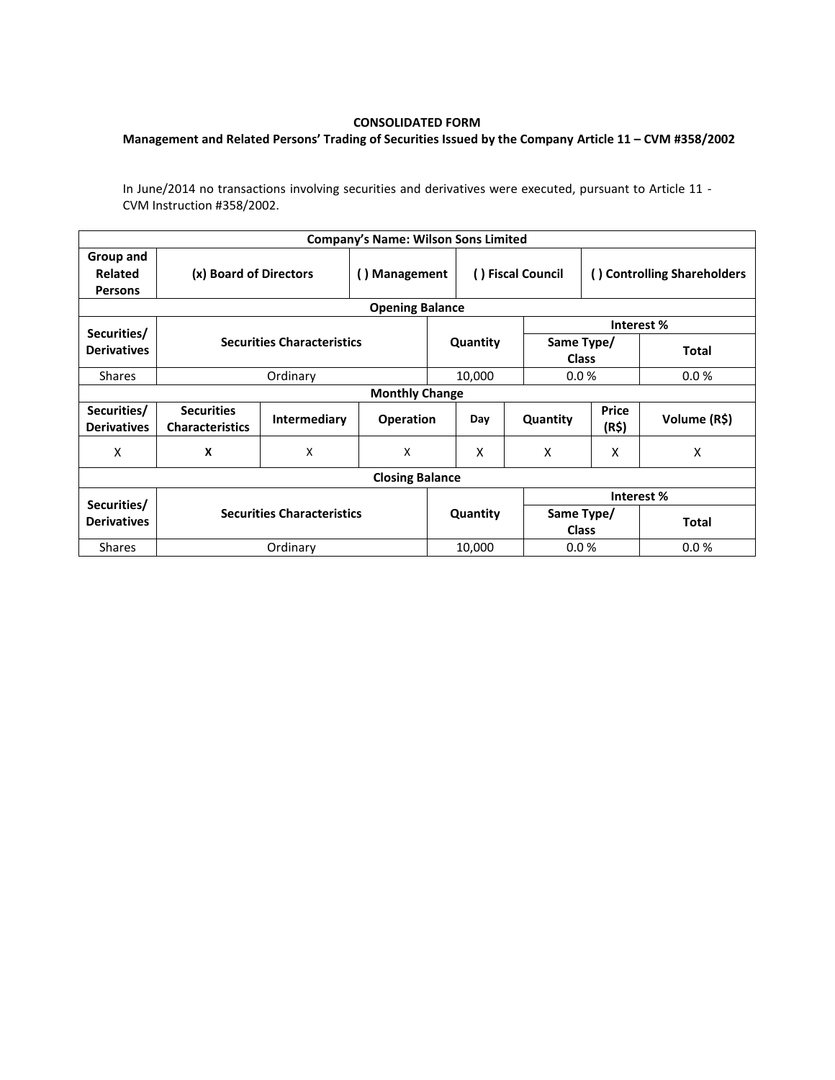## **CONSOLIDATED FORM**

## **Management and Related Persons' Trading of Securities Issued by the Company Article 11 – CVM #358/2002**

In June/2014 no transactions involving securities and derivatives were executed, pursuant to Article 11 - CVM Instruction #358/2002.

| <b>Company's Name: Wilson Sons Limited</b> |                                             |                                   |                  |          |                   |                            |                             |              |  |  |  |
|--------------------------------------------|---------------------------------------------|-----------------------------------|------------------|----------|-------------------|----------------------------|-----------------------------|--------------|--|--|--|
| Group and<br>Related<br><b>Persons</b>     | (x) Board of Directors                      |                                   | () Management    |          | () Fiscal Council |                            | () Controlling Shareholders |              |  |  |  |
| <b>Opening Balance</b>                     |                                             |                                   |                  |          |                   |                            |                             |              |  |  |  |
| Securities/                                |                                             |                                   |                  |          |                   |                            | Interest%                   |              |  |  |  |
| <b>Derivatives</b>                         |                                             | <b>Securities Characteristics</b> |                  | Quantity |                   | Same Type/<br><b>Class</b> |                             | <b>Total</b> |  |  |  |
| <b>Shares</b>                              |                                             | Ordinary                          |                  |          | 10,000            | 0.0%                       |                             | 0.0%         |  |  |  |
| <b>Monthly Change</b>                      |                                             |                                   |                  |          |                   |                            |                             |              |  |  |  |
| Securities/<br><b>Derivatives</b>          | <b>Securities</b><br><b>Characteristics</b> | Intermediary                      | <b>Operation</b> |          | Day               | Quantity                   | <b>Price</b><br>(R\$)       | Volume (R\$) |  |  |  |
| X                                          | X                                           | X                                 | X                |          | X                 | X                          | X                           | X            |  |  |  |
| <b>Closing Balance</b>                     |                                             |                                   |                  |          |                   |                            |                             |              |  |  |  |
| Securities/                                |                                             |                                   |                  |          |                   | Interest%                  |                             |              |  |  |  |
| <b>Derivatives</b>                         | <b>Securities Characteristics</b>           |                                   |                  | Quantity |                   | Same Type/<br><b>Class</b> |                             | <b>Total</b> |  |  |  |
| <b>Shares</b>                              |                                             | Ordinary                          |                  |          | 10,000            | 0.0%                       |                             | 0.0%         |  |  |  |